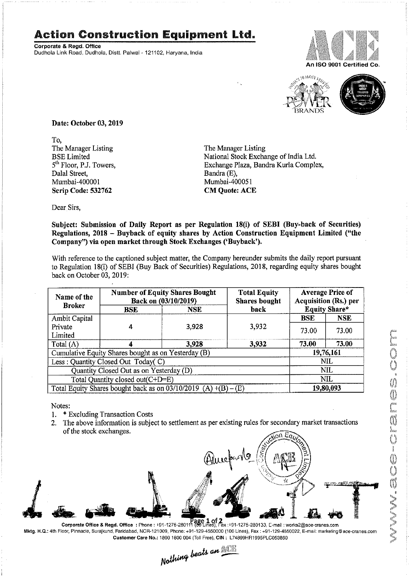## Action Construction Equipment Ltd.

Corporate & Regd. Office Dudhola Link Road, Dudhola, Distt. Palwal - 121102, Haryana<mark>, I</mark>ndia





Date: October 03, 2019

To, The Manager Listing<br>
BSE Limited<br>
The Manager Listing<br>
National Stock Excha Dalal Street,<br>Mumbai-400001 Scrip Code: 532762 CM Quote: ACE

BSE Limited National Stock Exchange of India Ltd.<br>
5<sup>th</sup> Floor, P.J. Towers, Exchange Plaza, Bandra Kurla Comple Exchange Plaza, Bandra Kurla Complex, Bandra (E), Mumbai-400051

Dear Sirs,

Subject: Submission of Daily Report as per Regulation 18(i) of SEBI (Buy-back of Securities) Regulations, 2018 — Buyback of equity shares by Action Construction Equipment Limited ("the Company") via open market through Stock Exchanges ('Buyback').

With reference to the captioned subject matter, the Company hereunder submits the daily report pursuant to Regulation 18(i) of SEBI (Buy Back of Securities) Regulations, 2018, regarding equity shares bought back on October 03, 2019:

| Name of the<br><b>Broker</b>                                        | <b>Number of Equity Shares Bought</b><br>Back on (03/10/2019) |       | <b>Total Equity</b><br><b>Shares bought</b> | <b>Average Price of</b><br><b>Acquisition (Rs.) per</b> |            |
|---------------------------------------------------------------------|---------------------------------------------------------------|-------|---------------------------------------------|---------------------------------------------------------|------------|
|                                                                     | back<br><b>NSE</b><br>BSE                                     |       | <b>Equity Share*</b>                        |                                                         |            |
| Ambit Capital                                                       |                                                               |       |                                             | <b>BSE</b>                                              | <b>NSE</b> |
| Private                                                             |                                                               | 3,928 | 3.932                                       | 73.00                                                   | 73.00      |
| Limited                                                             |                                                               |       |                                             |                                                         |            |
| Total $(\Lambda)$                                                   |                                                               | 3,928 | 3.932                                       | 73.00                                                   | 73.00      |
| Cumulative Equity Shares bought as on Yesterday (B)                 |                                                               |       |                                             | 19,76,161                                               |            |
| Less: Quantity Closed Out Today(C)                                  |                                                               |       |                                             | <b>NIL</b>                                              |            |
| Quantity Closed Out as on Yesterday (D)                             |                                                               |       |                                             | <b>NIL</b>                                              |            |
| Total Quantity closed out(C+D=E)                                    |                                                               |       |                                             | NIL                                                     |            |
| Total Equity Shares bought back as on $03/10/2019$ (A) $+(B) - (E)$ |                                                               |       |                                             | 19,80,093                                               |            |

Notes:

- 1. \* Excluding Transaction Costs
- 2. The above information is subject to settlement as per existing rules for secondary market transactions of the stock exchanges.



Mktg. H.Q.: 4th Floor, Pinnacle, Suraikund, Faridabad. NOR-121009. Phone: +91-129-4550000 (100 Lines), Fax : +91-129-4550022, E-maii: marketing©ace-cranes.com

Customer Care No.: 1800 1800 004 (Toll Free), CIN: L74899HR1995PLC053860<br>Nathing beats an  $\frac{1}{2}$